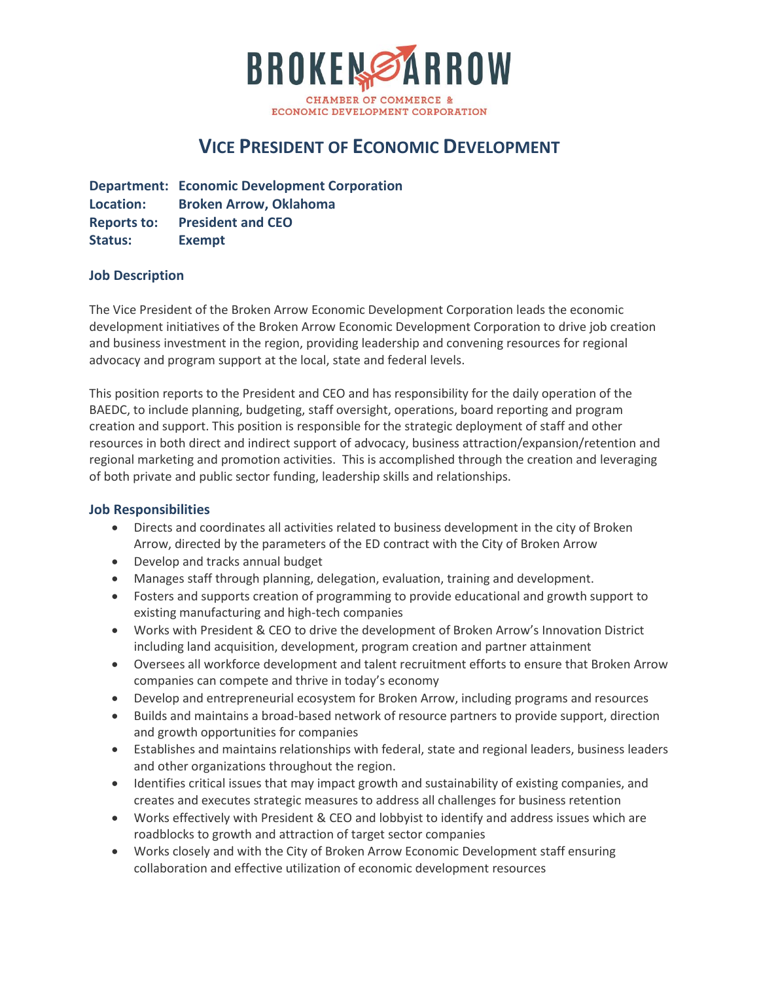

# **VICE PRESIDENT OF ECONOMIC DEVELOPMENT**

**Department: Economic Development Corporation Location: Broken Arrow, Oklahoma Reports to: President and CEO Status: Exempt**

#### **Job Description**

The Vice President of the Broken Arrow Economic Development Corporation leads the economic development initiatives of the Broken Arrow Economic Development Corporation to drive job creation and business investment in the region, providing leadership and convening resources for regional advocacy and program support at the local, state and federal levels.

This position reports to the President and CEO and has responsibility for the daily operation of the BAEDC, to include planning, budgeting, staff oversight, operations, board reporting and program creation and support. This position is responsible for the strategic deployment of staff and other resources in both direct and indirect support of advocacy, business attraction/expansion/retention and regional marketing and promotion activities. This is accomplished through the creation and leveraging of both private and public sector funding, leadership skills and relationships.

#### **Job Responsibilities**

- Directs and coordinates all activities related to business development in the city of Broken Arrow, directed by the parameters of the ED contract with the City of Broken Arrow
- Develop and tracks annual budget
- Manages staff through planning, delegation, evaluation, training and development.
- Fosters and supports creation of programming to provide educational and growth support to existing manufacturing and high-tech companies
- Works with President & CEO to drive the development of Broken Arrow's Innovation District including land acquisition, development, program creation and partner attainment
- Oversees all workforce development and talent recruitment efforts to ensure that Broken Arrow companies can compete and thrive in today's economy
- Develop and entrepreneurial ecosystem for Broken Arrow, including programs and resources
- Builds and maintains a broad-based network of resource partners to provide support, direction and growth opportunities for companies
- Establishes and maintains relationships with federal, state and regional leaders, business leaders and other organizations throughout the region.
- Identifies critical issues that may impact growth and sustainability of existing companies, and creates and executes strategic measures to address all challenges for business retention
- Works effectively with President & CEO and lobbyist to identify and address issues which are roadblocks to growth and attraction of target sector companies
- Works closely and with the City of Broken Arrow Economic Development staff ensuring collaboration and effective utilization of economic development resources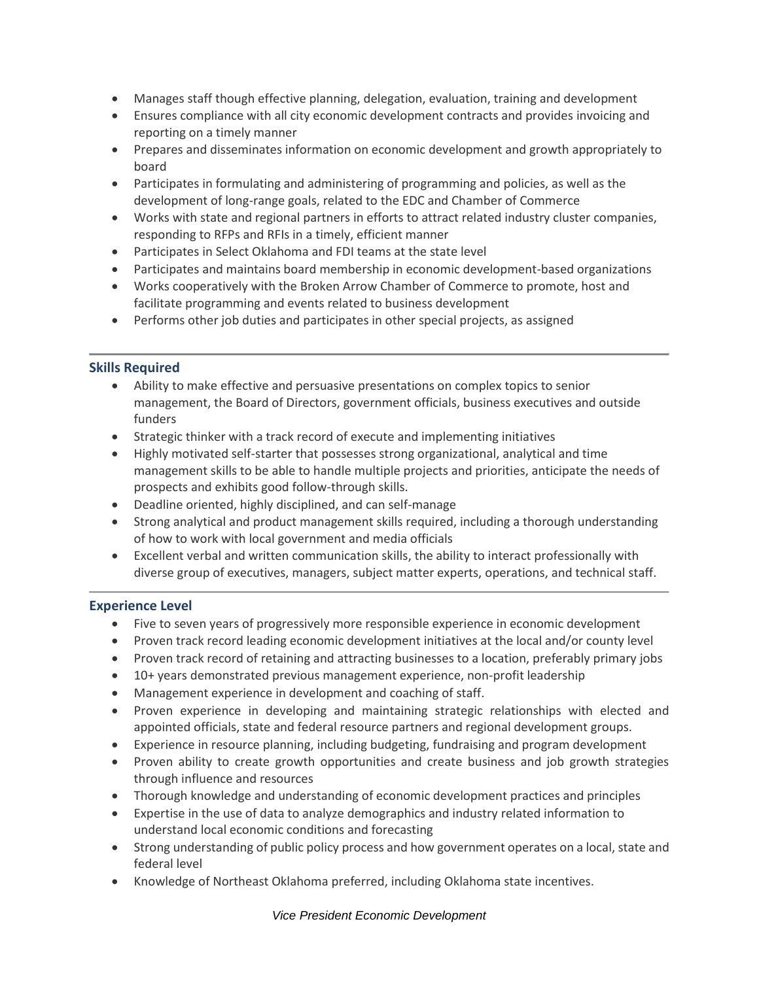- Manages staff though effective planning, delegation, evaluation, training and development
- Ensures compliance with all city economic development contracts and provides invoicing and reporting on a timely manner
- Prepares and disseminates information on economic development and growth appropriately to board
- Participates in formulating and administering of programming and policies, as well as the development of long-range goals, related to the EDC and Chamber of Commerce
- Works with state and regional partners in efforts to attract related industry cluster companies, responding to RFPs and RFIs in a timely, efficient manner
- Participates in Select Oklahoma and FDI teams at the state level
- Participates and maintains board membership in economic development-based organizations
- Works cooperatively with the Broken Arrow Chamber of Commerce to promote, host and facilitate programming and events related to business development
- Performs other job duties and participates in other special projects, as assigned

### **Skills Required**

- Ability to make effective and persuasive presentations on complex topics to senior management, the Board of Directors, government officials, business executives and outside funders
- Strategic thinker with a track record of execute and implementing initiatives
- Highly motivated self-starter that possesses strong organizational, analytical and time management skills to be able to handle multiple projects and priorities, anticipate the needs of prospects and exhibits good follow-through skills.
- Deadline oriented, highly disciplined, and can self-manage
- Strong analytical and product management skills required, including a thorough understanding of how to work with local government and media officials
- Excellent verbal and written communication skills, the ability to interact professionally with diverse group of executives, managers, subject matter experts, operations, and technical staff.

## **Experience Level**

- Five to seven years of progressively more responsible experience in economic development
- Proven track record leading economic development initiatives at the local and/or county level
- Proven track record of retaining and attracting businesses to a location, preferably primary jobs
- 10+ years demonstrated previous management experience, non-profit leadership
- Management experience in development and coaching of staff.
- Proven experience in developing and maintaining strategic relationships with elected and appointed officials, state and federal resource partners and regional development groups.
- Experience in resource planning, including budgeting, fundraising and program development
- Proven ability to create growth opportunities and create business and job growth strategies through influence and resources
- Thorough knowledge and understanding of economic development practices and principles
- Expertise in the use of data to analyze demographics and industry related information to understand local economic conditions and forecasting
- Strong understanding of public policy process and how government operates on a local, state and federal level
- Knowledge of Northeast Oklahoma preferred, including Oklahoma state incentives.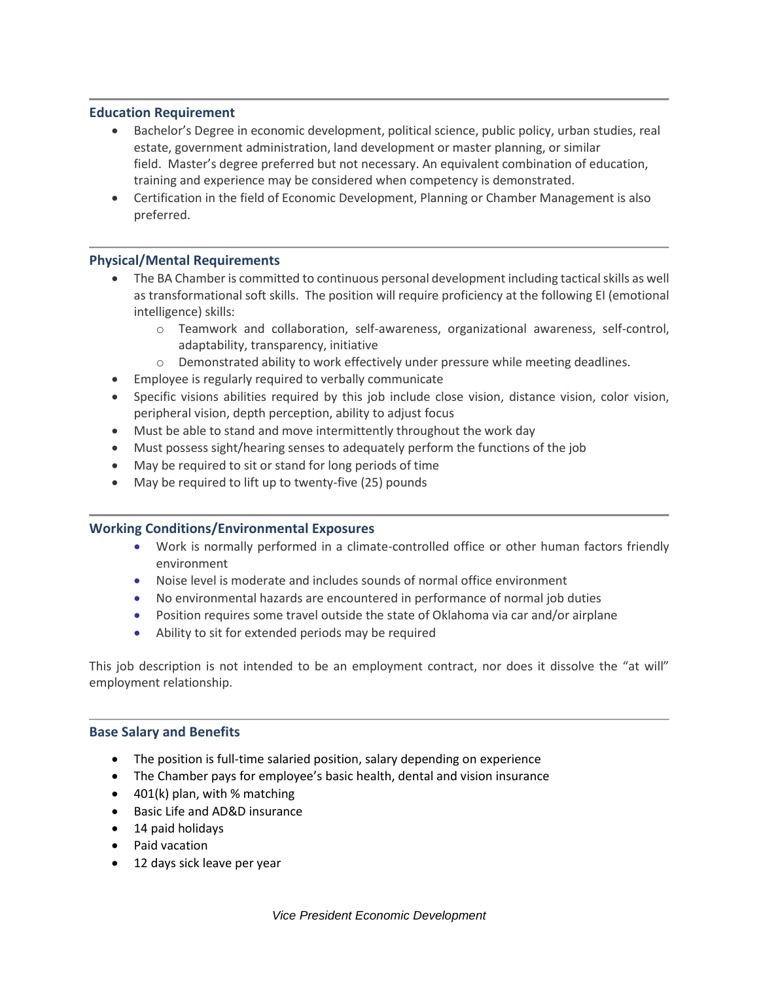#### **Education Requirement**

- Bachelor's Degree in economic development, political science, public policy, urban studies, real estate, government administration, land development or master planning, or similar field. Master's degree preferred but not necessary. An equivalent combination of education, training and experience may be considered when competency is demonstrated.
- Certification in the field of Economic Development, Planning or Chamber Management is also preferred.

#### **Physical/Mental Requirements**

- The BA Chamber is committed to continuous personal development including tactical skills as well as transformational soft skills. The position will require proficiency at the following EI (emotional intelligence) skills:
	- o Teamwork and collaboration, self-awareness, organizational awareness, self-control, adaptability, transparency, initiative
	- $\circ$  Demonstrated ability to work effectively under pressure while meeting deadlines.
- Employee is regularly required to verbally communicate
- Specific visions abilities required by this job include close vision, distance vision, color vision, peripheral vision, depth perception, ability to adjust focus
- Must be able to stand and move intermittently throughout the work day
- Must possess sight/hearing senses to adequately perform the functions of the job
- May be required to sit or stand for long periods of time
- May be required to lift up to twenty-five (25) pounds

#### **Working Conditions/Environmental Exposures**

- Work is normally performed in a climate-controlled office or other human factors friendly environment
- Noise level is moderate and includes sounds of normal office environment
- No environmental hazards are encountered in performance of normal job duties
- Position requires some travel outside the state of Oklahoma via car and/or airplane
- Ability to sit for extended periods may be required

This job description is not intended to be an employment contract, nor does it dissolve the "at will" employment relationship.

#### **Base Salary and Benefits**

- The position is full-time salaried position, salary depending on experience
- The Chamber pays for employee's basic health, dental and vision insurance
- $\bullet$  401(k) plan, with % matching
- Basic Life and AD&D insurance
- 14 paid holidays
- Paid vacation
- 12 days sick leave per year